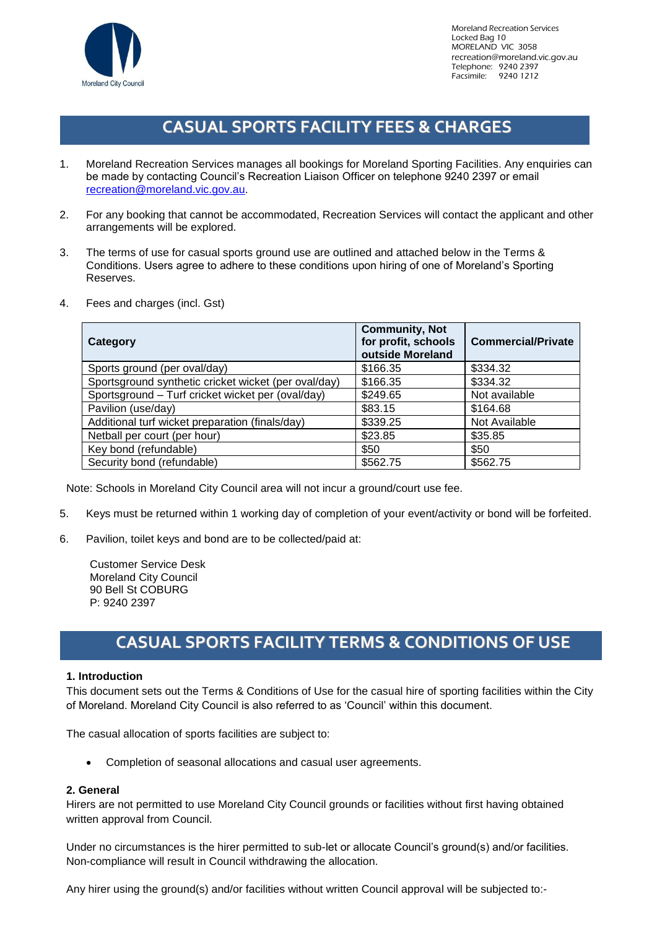

# **CASUAL SPORTS FACILITY FEES & CHARGES**

- 1. Moreland Recreation Services manages all bookings for Moreland Sporting Facilities. Any enquiries can be made by contacting Council's Recreation Liaison Officer on telephone 9240 2397 or email [recreation@moreland.vic.gov.au.](mailto:recreation@moreland.vic.gov.au)
- 2. For any booking that cannot be accommodated, Recreation Services will contact the applicant and other arrangements will be explored.
- 3. The terms of use for casual sports ground use are outlined and attached below in the Terms & Conditions. Users agree to adhere to these conditions upon hiring of one of Moreland's Sporting Reserves.
- 4. Fees and charges (incl. Gst)

| Category                                             | <b>Community, Not</b><br>for profit, schools<br>outside Moreland | <b>Commercial/Private</b> |
|------------------------------------------------------|------------------------------------------------------------------|---------------------------|
| Sports ground (per oval/day)                         | \$166.35                                                         | \$334.32                  |
| Sportsground synthetic cricket wicket (per oval/day) | \$166.35                                                         | \$334.32                  |
| Sportsground - Turf cricket wicket per (oval/day)    | \$249.65                                                         | Not available             |
| Pavilion (use/day)                                   | \$83.15                                                          | \$164.68                  |
| Additional turf wicket preparation (finals/day)      | \$339.25                                                         | Not Available             |
| Netball per court (per hour)                         | \$23.85                                                          | \$35.85                   |
| Key bond (refundable)                                | \$50                                                             | \$50                      |
| Security bond (refundable)                           | \$562.75                                                         | \$562.75                  |

Note: Schools in Moreland City Council area will not incur a ground/court use fee.

- 5. Keys must be returned within 1 working day of completion of your event/activity or bond will be forfeited.
- 6. Pavilion, toilet keys and bond are to be collected/paid at:

Customer Service Desk Moreland City Council 90 Bell St COBURG P: 9240 2397

# **CASUAL SPORTS FACILITY TERMS & CONDITIONS OF USE**

# **1. Introduction**

This document sets out the Terms & Conditions of Use for the casual hire of sporting facilities within the City of Moreland. Moreland City Council is also referred to as 'Council' within this document.

The casual allocation of sports facilities are subject to:

• Completion of seasonal allocations and casual user agreements.

# **2. General**

Hirers are not permitted to use Moreland City Council grounds or facilities without first having obtained written approval from Council.

Under no circumstances is the hirer permitted to sub-let or allocate Council's ground(s) and/or facilities. Non-compliance will result in Council withdrawing the allocation.

Any hirer using the ground(s) and/or facilities without written Council approval will be subjected to:-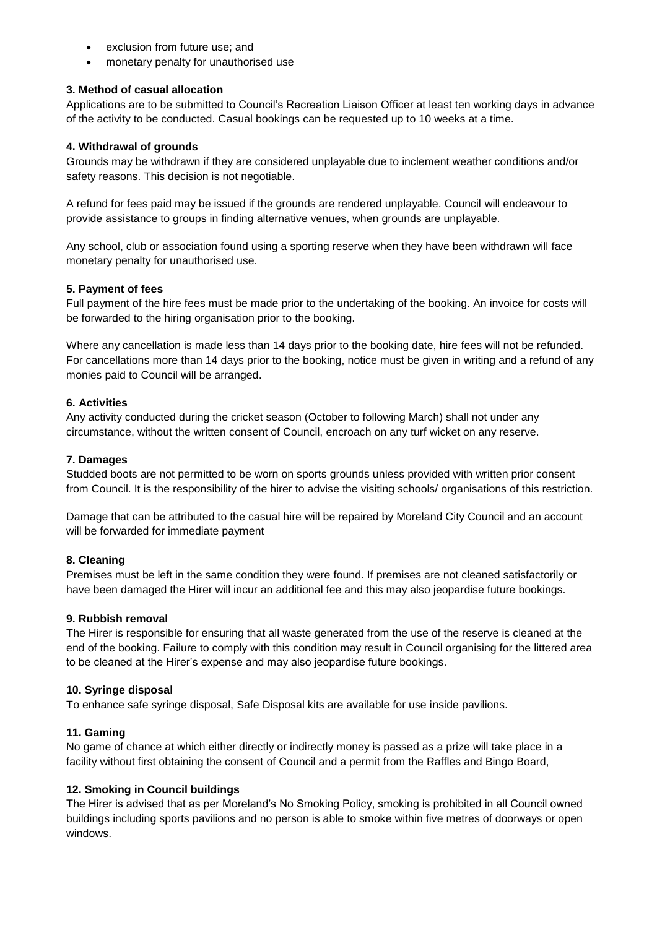- exclusion from future use; and
- monetary penalty for unauthorised use

## **3. Method of casual allocation**

Applications are to be submitted to Council's Recreation Liaison Officer at least ten working days in advance of the activity to be conducted. Casual bookings can be requested up to 10 weeks at a time.

## **4. Withdrawal of grounds**

Grounds may be withdrawn if they are considered unplayable due to inclement weather conditions and/or safety reasons. This decision is not negotiable.

A refund for fees paid may be issued if the grounds are rendered unplayable. Council will endeavour to provide assistance to groups in finding alternative venues, when grounds are unplayable.

Any school, club or association found using a sporting reserve when they have been withdrawn will face monetary penalty for unauthorised use.

## **5. Payment of fees**

Full payment of the hire fees must be made prior to the undertaking of the booking. An invoice for costs will be forwarded to the hiring organisation prior to the booking.

Where any cancellation is made less than 14 days prior to the booking date, hire fees will not be refunded. For cancellations more than 14 days prior to the booking, notice must be given in writing and a refund of any monies paid to Council will be arranged.

## **6. Activities**

Any activity conducted during the cricket season (October to following March) shall not under any circumstance, without the written consent of Council, encroach on any turf wicket on any reserve.

## **7. Damages**

Studded boots are not permitted to be worn on sports grounds unless provided with written prior consent from Council. It is the responsibility of the hirer to advise the visiting schools/ organisations of this restriction.

Damage that can be attributed to the casual hire will be repaired by Moreland City Council and an account will be forwarded for immediate payment

### **8. Cleaning**

Premises must be left in the same condition they were found. If premises are not cleaned satisfactorily or have been damaged the Hirer will incur an additional fee and this may also jeopardise future bookings.

### **9. Rubbish removal**

The Hirer is responsible for ensuring that all waste generated from the use of the reserve is cleaned at the end of the booking. Failure to comply with this condition may result in Council organising for the littered area to be cleaned at the Hirer's expense and may also jeopardise future bookings.

### **10. Syringe disposal**

To enhance safe syringe disposal, Safe Disposal kits are available for use inside pavilions.

# **11. Gaming**

No game of chance at which either directly or indirectly money is passed as a prize will take place in a facility without first obtaining the consent of Council and a permit from the Raffles and Bingo Board,

# **12. Smoking in Council buildings**

The Hirer is advised that as per Moreland's No Smoking Policy, smoking is prohibited in all Council owned buildings including sports pavilions and no person is able to smoke within five metres of doorways or open windows.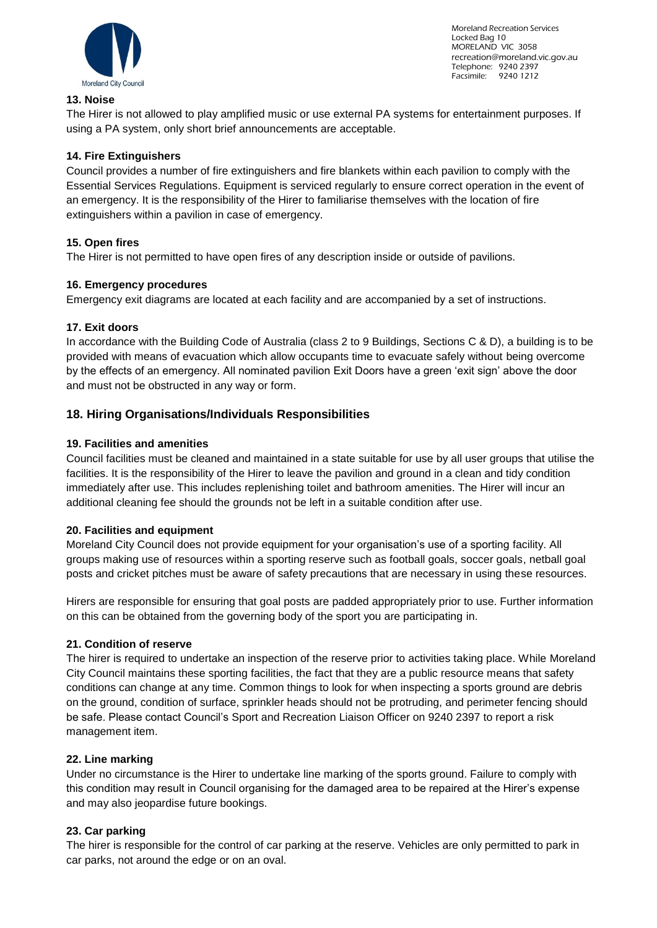

Moreland Recreation Services Locked Bag 10 MORELAND VIC 3058 recreation@moreland.vic.gov.au Telephone: 9240 2397 Facsimile: 9240 1212

# **13. Noise**

The Hirer is not allowed to play amplified music or use external PA systems for entertainment purposes. If using a PA system, only short brief announcements are acceptable.

# **14. Fire Extinguishers**

Council provides a number of fire extinguishers and fire blankets within each pavilion to comply with the Essential Services Regulations. Equipment is serviced regularly to ensure correct operation in the event of an emergency. It is the responsibility of the Hirer to familiarise themselves with the location of fire extinguishers within a pavilion in case of emergency.

# **15. Open fires**

The Hirer is not permitted to have open fires of any description inside or outside of pavilions.

# **16. Emergency procedures**

Emergency exit diagrams are located at each facility and are accompanied by a set of instructions.

# **17. Exit doors**

In accordance with the Building Code of Australia (class 2 to 9 Buildings, Sections C & D), a building is to be provided with means of evacuation which allow occupants time to evacuate safely without being overcome by the effects of an emergency. All nominated pavilion Exit Doors have a green 'exit sign' above the door and must not be obstructed in any way or form.

# **18. Hiring Organisations/Individuals Responsibilities**

# **19. Facilities and amenities**

Council facilities must be cleaned and maintained in a state suitable for use by all user groups that utilise the facilities. It is the responsibility of the Hirer to leave the pavilion and ground in a clean and tidy condition immediately after use. This includes replenishing toilet and bathroom amenities. The Hirer will incur an additional cleaning fee should the grounds not be left in a suitable condition after use.

# **20. Facilities and equipment**

Moreland City Council does not provide equipment for your organisation's use of a sporting facility. All groups making use of resources within a sporting reserve such as football goals, soccer goals, netball goal posts and cricket pitches must be aware of safety precautions that are necessary in using these resources.

Hirers are responsible for ensuring that goal posts are padded appropriately prior to use. Further information on this can be obtained from the governing body of the sport you are participating in.

# **21. Condition of reserve**

The hirer is required to undertake an inspection of the reserve prior to activities taking place. While Moreland City Council maintains these sporting facilities, the fact that they are a public resource means that safety conditions can change at any time. Common things to look for when inspecting a sports ground are debris on the ground, condition of surface, sprinkler heads should not be protruding, and perimeter fencing should be safe. Please contact Council's Sport and Recreation Liaison Officer on 9240 2397 to report a risk management item.

# **22. Line marking**

Under no circumstance is the Hirer to undertake line marking of the sports ground. Failure to comply with this condition may result in Council organising for the damaged area to be repaired at the Hirer's expense and may also jeopardise future bookings.

# **23. Car parking**

The hirer is responsible for the control of car parking at the reserve. Vehicles are only permitted to park in car parks, not around the edge or on an oval.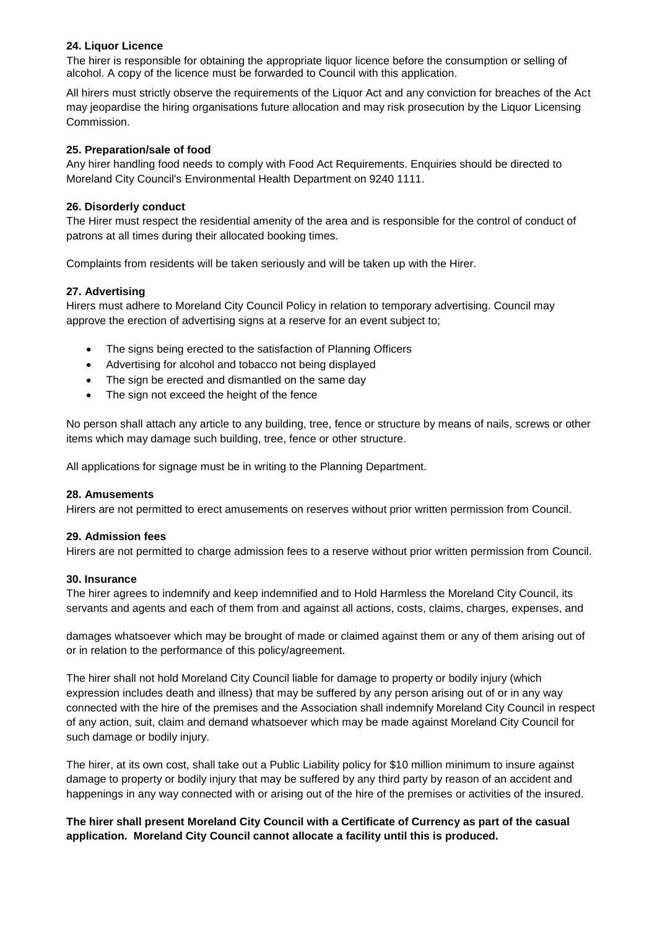# **24. Liquor Licence**

The hirer is responsible for obtaining the appropriate liquor licence before the consumption or selling of alcohol. A copy of the licence must be forwarded to Council with this application.

All hirers must strictly observe the requirements of the Liquor Act and any conviction for breaches of the Act may jeopardise the hiring organisations future allocation and may risk prosecution by the Liquor Licensing Commission.

## **25. Preparation/sale of food**

Any hirer handling food needs to comply with Food Act Requirements. Enquiries should be directed to Moreland City Council's Environmental Health Department on 9240 1111.

## **26. Disorderly conduct**

The Hirer must respect the residential amenity of the area and is responsible for the control of conduct of patrons at all times during their allocated booking times.

Complaints from residents will be taken seriously and will be taken up with the Hirer.

## **27. Advertising**

Hirers must adhere to Moreland City Council Policy in relation to temporary advertising. Council may approve the erection of advertising signs at a reserve for an event subject to;

- The signs being erected to the satisfaction of Planning Officers
- Advertising for alcohol and tobacco not being displayed
- The sign be erected and dismantled on the same day
- The sign not exceed the height of the fence

No person shall attach any article to any building, tree, fence or structure by means of nails, screws or other items which may damage such building, tree, fence or other structure.

All applications for signage must be in writing to the Planning Department.

### **28. Amusements**

Hirers are not permitted to erect amusements on reserves without prior written permission from Council.

### **29. Admission fees**

Hirers are not permitted to charge admission fees to a reserve without prior written permission from Council.

### **30. Insurance**

The hirer agrees to indemnify and keep indemnified and to Hold Harmless the Moreland City Council, its servants and agents and each of them from and against all actions, costs, claims, charges, expenses, and

damages whatsoever which may be brought of made or claimed against them or any of them arising out of or in relation to the performance of this policy/agreement.

The hirer shall not hold Moreland City Council liable for damage to property or bodily injury (which expression includes death and illness) that may be suffered by any person arising out of or in any way connected with the hire of the premises and the Association shall indemnify Moreland City Council in respect of any action, suit, claim and demand whatsoever which may be made against Moreland City Council for such damage or bodily injury.

The hirer, at its own cost, shall take out a Public Liability policy for \$10 million minimum to insure against damage to property or bodily injury that may be suffered by any third party by reason of an accident and happenings in any way connected with or arising out of the hire of the premises or activities of the insured.

# **The hirer shall present Moreland City Council with a Certificate of Currency as part of the casual application. Moreland City Council cannot allocate a facility until this is produced.**